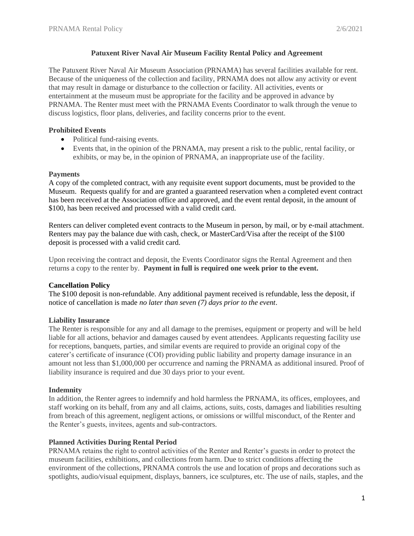## **Patuxent River Naval Air Museum Facility Rental Policy and Agreement**

The Patuxent River Naval Air Museum Association (PRNAMA) has several facilities available for rent. Because of the uniqueness of the collection and facility, PRNAMA does not allow any activity or event that may result in damage or disturbance to the collection or facility. All activities, events or entertainment at the museum must be appropriate for the facility and be approved in advance by PRNAMA. The Renter must meet with the PRNAMA Events Coordinator to walk through the venue to discuss logistics, floor plans, deliveries, and facility concerns prior to the event.

# **Prohibited Events**

- Political fund-raising events.
- Events that, in the opinion of the PRNAMA, may present a risk to the public, rental facility, or exhibits, or may be, in the opinion of PRNAMA, an inappropriate use of the facility.

### **Payments**

A copy of the completed contract, with any requisite event support documents, must be provided to the Museum. Requests qualify for and are granted a guaranteed reservation when a completed event contract has been received at the Association office and approved, and the event rental deposit, in the amount of \$100, has been received and processed with a valid credit card.

Renters can deliver completed event contracts to the Museum in person, by mail, or by e-mail attachment. Renters may pay the balance due with cash, check, or MasterCard/Visa after the receipt of the \$100 deposit is processed with a valid credit card.

Upon receiving the contract and deposit, the Events Coordinator signs the Rental Agreement and then returns a copy to the renter by. **Payment in full is required one week prior to the event.**

# **Cancellation Policy**

The \$100 deposit is non-refundable. Any additional payment received is refundable, less the deposit, if notice of cancellation is made *no later than seven (7) days prior to the event*.

# **Liability Insurance**

The Renter is responsible for any and all damage to the premises, equipment or property and will be held liable for all actions, behavior and damages caused by event attendees. Applicants requesting facility use for receptions, banquets, parties, and similar events are required to provide an original copy of the caterer's certificate of insurance (COI) providing public liability and property damage insurance in an amount not less than \$1,000,000 per occurrence and naming the PRNAMA as additional insured. Proof of liability insurance is required and due 30 days prior to your event.

### **Indemnity**

In addition, the Renter agrees to indemnify and hold harmless the PRNAMA, its offices, employees, and staff working on its behalf, from any and all claims, actions, suits, costs, damages and liabilities resulting from breach of this agreement, negligent actions, or omissions or willful misconduct, of the Renter and the Renter's guests, invitees, agents and sub-contractors.

### **Planned Activities During Rental Period**

PRNAMA retains the right to control activities of the Renter and Renter's guests in order to protect the museum facilities, exhibitions, and collections from harm. Due to strict conditions affecting the environment of the collections, PRNAMA controls the use and location of props and decorations such as spotlights, audio/visual equipment, displays, banners, ice sculptures, etc. The use of nails, staples, and the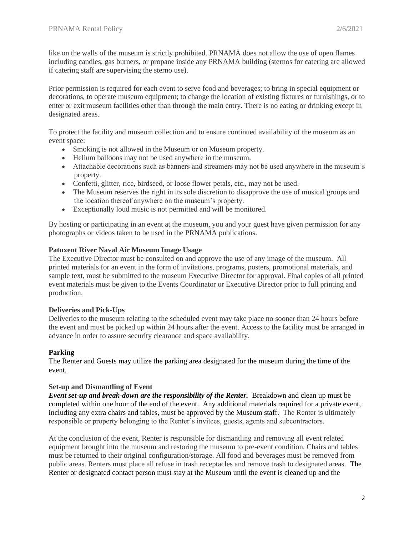like on the walls of the museum is strictly prohibited. PRNAMA does not allow the use of open flames including candles, gas burners, or propane inside any PRNAMA building (sternos for catering are allowed if catering staff are supervising the sterno use).

Prior permission is required for each event to serve food and beverages; to bring in special equipment or decorations, to operate museum equipment; to change the location of existing fixtures or furnishings, or to enter or exit museum facilities other than through the main entry. There is no eating or drinking except in designated areas.

To protect the facility and museum collection and to ensure continued availability of the museum as an event space:

- Smoking is not allowed in the Museum or on Museum property.
- Helium balloons may not be used anywhere in the museum.
- Attachable decorations such as banners and streamers may not be used anywhere in the museum's property.
- Confetti, glitter, rice, birdseed, or loose flower petals, etc., may not be used.
- The Museum reserves the right in its sole discretion to disapprove the use of musical groups and the location thereof anywhere on the museum's property.
- Exceptionally loud music is not permitted and will be monitored.

By hosting or participating in an event at the museum, you and your guest have given permission for any photographs or videos taken to be used in the PRNAMA publications.

# **Patuxent River Naval Air Museum Image Usage**

The Executive Director must be consulted on and approve the use of any image of the museum. All printed materials for an event in the form of invitations, programs, posters, promotional materials, and sample text, must be submitted to the museum Executive Director for approval. Final copies of all printed event materials must be given to the Events Coordinator or Executive Director prior to full printing and production.

### **Deliveries and Pick-Ups**

Deliveries to the museum relating to the scheduled event may take place no sooner than 24 hours before the event and must be picked up within 24 hours after the event. Access to the facility must be arranged in advance in order to assure security clearance and space availability.

# **Parking**

The Renter and Guests may utilize the parking area designated for the museum during the time of the event.

### **Set-up and Dismantling of Event**

*Event set-up and break-down are the responsibility of the Renter.* Breakdown and clean up must be completed within one hour of the end of the event. Any additional materials required for a private event, including any extra chairs and tables, must be approved by the Museum staff. The Renter is ultimately responsible or property belonging to the Renter's invitees, guests, agents and subcontractors.

At the conclusion of the event, Renter is responsible for dismantling and removing all event related equipment brought into the museum and restoring the museum to pre-event condition. Chairs and tables must be returned to their original configuration/storage. All food and beverages must be removed from public areas. Renters must place all refuse in trash receptacles and remove trash to designated areas. The Renter or designated contact person must stay at the Museum until the event is cleaned up and the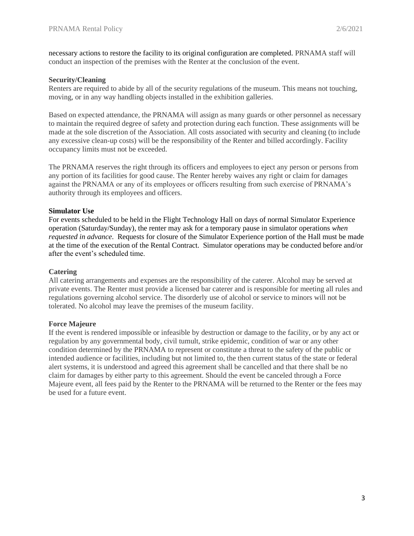necessary actions to restore the facility to its original configuration are completed. PRNAMA staff will conduct an inspection of the premises with the Renter at the conclusion of the event.

### **Security/Cleaning**

Renters are required to abide by all of the security regulations of the museum. This means not touching, moving, or in any way handling objects installed in the exhibition galleries.

Based on expected attendance, the PRNAMA will assign as many guards or other personnel as necessary to maintain the required degree of safety and protection during each function. These assignments will be made at the sole discretion of the Association. All costs associated with security and cleaning (to include any excessive clean-up costs) will be the responsibility of the Renter and billed accordingly. Facility occupancy limits must not be exceeded.

The PRNAMA reserves the right through its officers and employees to eject any person or persons from any portion of its facilities for good cause. The Renter hereby waives any right or claim for damages against the PRNAMA or any of its employees or officers resulting from such exercise of PRNAMA's authority through its employees and officers.

### **Simulator Use**

For events scheduled to be held in the Flight Technology Hall on days of normal Simulator Experience operation (Saturday/Sunday), the renter may ask for a temporary pause in simulator operations *when requested in advance*. Requests for closure of the Simulator Experience portion of the Hall must be made at the time of the execution of the Rental Contract. Simulator operations may be conducted before and/or after the event's scheduled time.

### **Catering**

All catering arrangements and expenses are the responsibility of the caterer. Alcohol may be served at private events. The Renter must provide a licensed bar caterer and is responsible for meeting all rules and regulations governing alcohol service. The disorderly use of alcohol or service to minors will not be tolerated. No alcohol may leave the premises of the museum facility.

#### **Force Majeure**

If the event is rendered impossible or infeasible by destruction or damage to the facility, or by any act or regulation by any governmental body, civil tumult, strike epidemic, condition of war or any other condition determined by the PRNAMA to represent or constitute a threat to the safety of the public or intended audience or facilities, including but not limited to, the then current status of the state or federal alert systems, it is understood and agreed this agreement shall be cancelled and that there shall be no claim for damages by either party to this agreement. Should the event be canceled through a Force Majeure event, all fees paid by the Renter to the PRNAMA will be returned to the Renter or the fees may be used for a future event.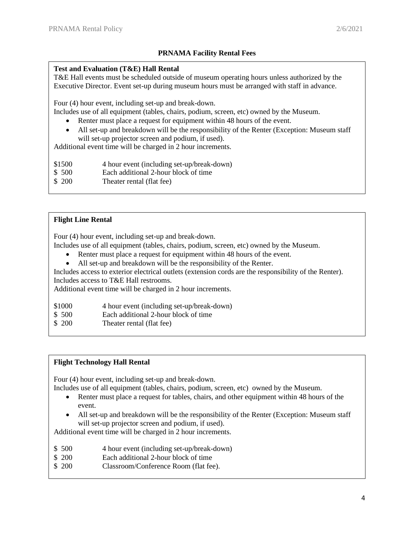# **PRNAMA Facility Rental Fees**

## **Test and Evaluation (T&E) Hall Rental**

T&E Hall events must be scheduled outside of museum operating hours unless authorized by the Executive Director. Event set-up during museum hours must be arranged with staff in advance.

Four (4) hour event, including set-up and break-down.

Includes use of all equipment (tables, chairs, podium, screen, etc) owned by the Museum.

- Renter must place a request for equipment within 48 hours of the event.
- All set-up and breakdown will be the responsibility of the Renter (Exception: Museum staff will set-up projector screen and podium, if used).

Additional event time will be charged in 2 hour increments.

\$1500 4 hour event (including set-up/break-down)

- \$ 500 Each additional 2-hour block of time
- \$ 200 Theater rental (flat fee)

# **Flight Line Rental**

Four (4) hour event, including set-up and break-down.

Includes use of all equipment (tables, chairs, podium, screen, etc) owned by the Museum.

- Renter must place a request for equipment within 48 hours of the event.
- All set-up and breakdown will be the responsibility of the Renter.

Includes access to exterior electrical outlets (extension cords are the responsibility of the Renter). Includes access to T&E Hall restrooms.

Additional event time will be charged in 2 hour increments.

- \$1000 4 hour event (including set-up/break-down)
- \$ 500 Each additional 2-hour block of time
- \$ 200 Theater rental (flat fee)

### **Flight Technology Hall Rental**

Four (4) hour event, including set-up and break-down.

- Includes use of all equipment (tables, chairs, podium, screen, etc) owned by the Museum.
	- Renter must place a request for tables, chairs, and other equipment within 48 hours of the event.
	- All set-up and breakdown will be the responsibility of the Renter (Exception: Museum staff will set-up projector screen and podium, if used).

Additional event time will be charged in 2 hour increments.

- \$ 500 4 hour event (including set-up/break-down)
- \$ 200 Each additional 2-hour block of time
- \$ 200 Classroom/Conference Room (flat fee).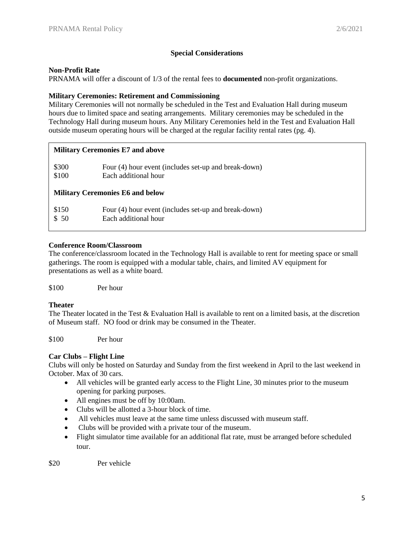## **Special Considerations**

### **Non-Profit Rate**

PRNAMA will offer a discount of 1/3 of the rental fees to **documented** non-profit organizations.

## **Military Ceremonies: Retirement and Commissioning**

Military Ceremonies will not normally be scheduled in the Test and Evaluation Hall during museum hours due to limited space and seating arrangements. Military ceremonies may be scheduled in the Technology Hall during museum hours. Any Military Ceremonies held in the Test and Evaluation Hall outside museum operating hours will be charged at the regular facility rental rates (pg. 4).

### **Military Ceremonies E7 and above**

| \$300                                   | Four (4) hour event (includes set-up and break-down) |  |  |  |
|-----------------------------------------|------------------------------------------------------|--|--|--|
| \$100                                   | Each additional hour                                 |  |  |  |
| <b>Military Ceremonies E6 and below</b> |                                                      |  |  |  |
| \$150                                   | Four (4) hour event (includes set-up and break-down) |  |  |  |
| \$50                                    | Each additional hour                                 |  |  |  |

## **Conference Room/Classroom**

The conference/classroom located in the Technology Hall is available to rent for meeting space or small gatherings. The room is equipped with a modular table, chairs, and limited AV equipment for presentations as well as a white board.

\$100 Per hour

### **Theater**

The Theater located in the Test & Evaluation Hall is available to rent on a limited basis, at the discretion of Museum staff. NO food or drink may be consumed in the Theater.

\$100 Per hour

# **Car Clubs – Flight Line**

Clubs will only be hosted on Saturday and Sunday from the first weekend in April to the last weekend in October. Max of 30 cars.

- All vehicles will be granted early access to the Flight Line, 30 minutes prior to the museum opening for parking purposes.
- All engines must be off by 10:00am.
- Clubs will be allotted a 3-hour block of time.
- All vehicles must leave at the same time unless discussed with museum staff.
- Clubs will be provided with a private tour of the museum.
- Flight simulator time available for an additional flat rate, must be arranged before scheduled tour.

\$20 Per vehicle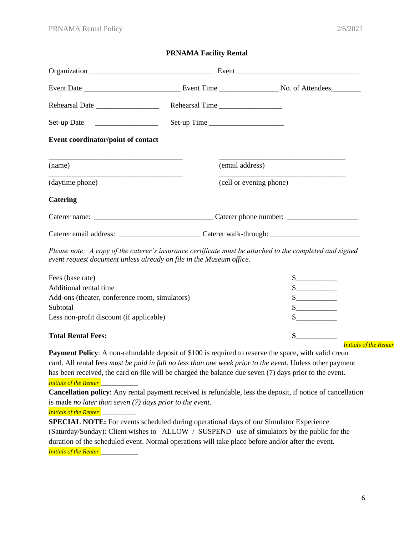### **PRNAMA Facility Rental**

|                                    |                         | Event |
|------------------------------------|-------------------------|-------|
|                                    |                         |       |
|                                    | Rehearsal Time          |       |
| Set-up Date ____________________   | Set-up Time             |       |
| Event coordinator/point of contact |                         |       |
|                                    |                         |       |
| (name)                             | (email address)         |       |
| (daytime phone)                    | (cell or evening phone) |       |
| <b>Catering</b>                    |                         |       |
|                                    |                         |       |
|                                    |                         |       |

*Please note: A copy of the caterer's insurance certificate must be attached to the completed and signed event request document unless already on file in the Museum office.*

| Fees (base rate)                               |                               |
|------------------------------------------------|-------------------------------|
| Additional rental time                         |                               |
| Add-ons (theater, conference room, simulators) |                               |
| Subtotal                                       |                               |
| Less non-profit discount (if applicable)       |                               |
| <b>Total Rental Fees:</b>                      | <b>Initials of the Renter</b> |

**Payment Policy**: A non-refundable deposit of \$100 is required to reserve the space, with valid credit card. All rental fees *must be paid in full no less than one week prior to the event*. Unless other payment has been received, the card on file will be charged the balance due seven (7) days prior to the event. *Initials of the Renter* \_\_\_\_\_\_\_\_\_\_

**Cancellation policy**: Any rental payment received is refundable, less the deposit, if notice of cancellation is made *no later than seven (7) days prior to the event*.

*Initials of the Renter* 

**SPECIAL NOTE:** For events scheduled during operational days of our Simulator Experience (Saturday/Sunday): Client wishes to ALLOW / SUSPEND use of simulators by the public for the duration of the scheduled event. Normal operations will take place before and/or after the event. *Initials of the Renter* \_\_\_\_\_\_\_\_\_\_